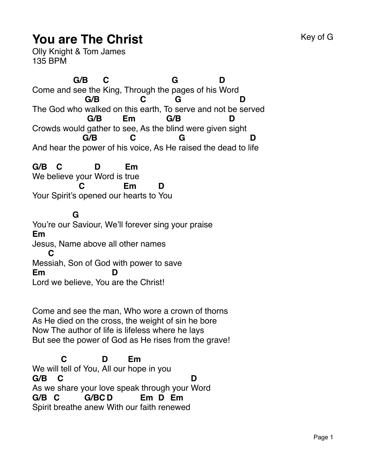## **You are The Christ** Key of G

Olly Knight & Tom James 135 BPM

Come and see the King, Through the pages of his Word **G/B C G D** The God who walked on this earth, To serve and not be served **G/B C G D** Crowds would gather to see, As the blind were given sight **G/B Em G/B D** And hear the power of his voice, As He raised the dead to l ife **G/B C G D**

**G/B** We be lieve your Word is true **C D Em** Your Spirit's opened our hearts to You **C Em D**

**G**

You're our Saviour, We'll forever sing your praise **Em** Jesus, Name above all other names Mes siah, Son of God with power to save **C Em** Lord we believe, You are the Christ! **D**

Come and see the man, Who wore a crown of thorns As He died on the cross, the weight of sin he bore Now The author of life is lifeless where he lays But see the power of God as He rises from the grave!

We will tell of You, All our hope in you **C D Em G/B** As we share your love speak through your Word **C D G/B C** Spirit breathe anew With our faith ren ewed**G/BC D Em D Em**